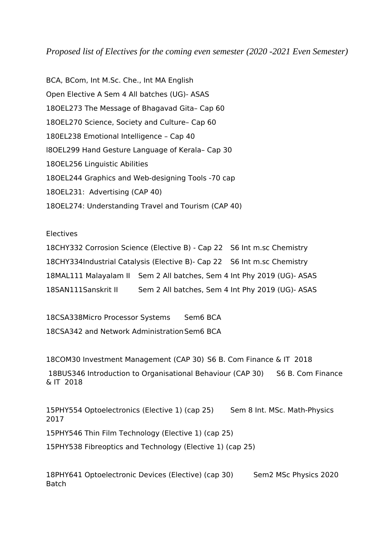*Proposed list of Electives for the coming even semester (2020 -2021 Even Semester)*

BCA, BCom, Int M.Sc. Che., Int MA English Open Elective A Sem 4 All batches (UG)- ASAS 18OEL273 The Message of Bhagavad Gita– Cap 60 18OEL270 Science, Society and Culture– Cap 60 180EL238 Emotional Intelligence – Cap 40 l8OEL299 Hand Gesture Language of Kerala– Cap 30 18OEL256 Linguistic Abilities 18OEL244 Graphics and Web-designing Tools -70 cap 18OEL231: Advertising (CAP 40) 18OEL274: Understanding Travel and Tourism (CAP 40)

Electives

18CHY332 Corrosion Science (Elective B) - Cap 22 S6 Int m.sc Chemistry 18CHY334Industrial Catalysis (Elective B)- Cap 22 S6 Int m.sc Chemistry 18MAL111 Malayalam II Sem 2 All batches, Sem 4 Int Phy 2019 (UG)- ASAS 18SAN111Sanskrit II Sem 2 All batches, Sem 4 Int Phy 2019 (UG)- ASAS

18CSA338Micro Processor Systems Sem6 BCA 18CSA342 and Network AdministrationSem6 BCA

18COM30 Investment Management (CAP 30) S6 B. Com Finance & IT 2018

18BUS346 Introduction to Organisational Behaviour (CAP 30) S6 B. Com Finance & IT 2018

15PHY554 Optoelectronics (Elective 1) (cap 25) Sem 8 Int. MSc. Math-Physics 2017

15PHY546 Thin Film Technology (Elective 1) (cap 25)

15PHY538 Fibreoptics and Technology (Elective 1) (cap 25)

18PHY641 Optoelectronic Devices (Elective) (cap 30) Sem2 MSc Physics 2020 Batch